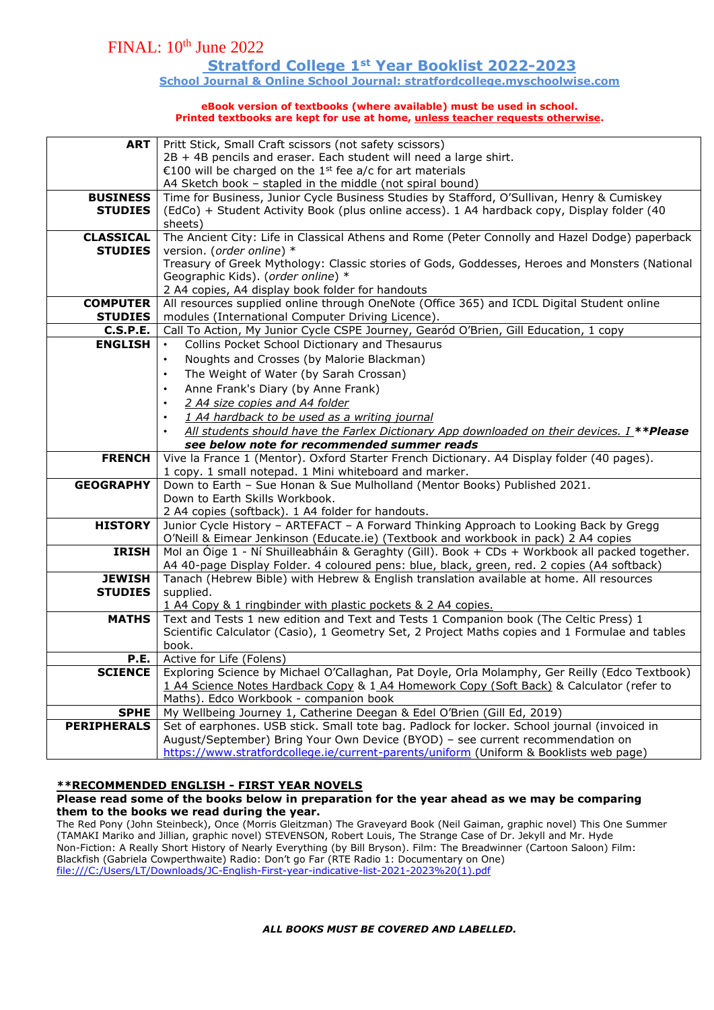### **Stratford College 1st Year Booklist 2022-2023**

**School Journal & Online School Journal: stratfordcollege.myschoolwise.com**

#### **eBook version of textbooks (where available) must be used in school. Printed textbooks are kept for use at home, unless teacher requests otherwise.**

| <b>ART</b>                        | Pritt Stick, Small Craft scissors (not safety scissors)                                                                                                                       |  |  |  |  |  |
|-----------------------------------|-------------------------------------------------------------------------------------------------------------------------------------------------------------------------------|--|--|--|--|--|
|                                   | 2B + 4B pencils and eraser. Each student will need a large shirt.                                                                                                             |  |  |  |  |  |
|                                   | €100 will be charged on the 1 <sup>st</sup> fee a/c for art materials                                                                                                         |  |  |  |  |  |
|                                   | A4 Sketch book - stapled in the middle (not spiral bound)                                                                                                                     |  |  |  |  |  |
| <b>BUSINESS</b>                   | Time for Business, Junior Cycle Business Studies by Stafford, O'Sullivan, Henry & Cumiskey                                                                                    |  |  |  |  |  |
| <b>STUDIES</b>                    | (EdCo) + Student Activity Book (plus online access). 1 A4 hardback copy, Display folder (40                                                                                   |  |  |  |  |  |
|                                   | sheets)                                                                                                                                                                       |  |  |  |  |  |
| <b>CLASSICAL</b>                  | The Ancient City: Life in Classical Athens and Rome (Peter Connolly and Hazel Dodge) paperback                                                                                |  |  |  |  |  |
| <b>STUDIES</b>                    | version. (order online) *                                                                                                                                                     |  |  |  |  |  |
|                                   | Treasury of Greek Mythology: Classic stories of Gods, Goddesses, Heroes and Monsters (National                                                                                |  |  |  |  |  |
|                                   | Geographic Kids). (order online) *                                                                                                                                            |  |  |  |  |  |
|                                   | 2 A4 copies, A4 display book folder for handouts                                                                                                                              |  |  |  |  |  |
| <b>COMPUTER</b>                   | All resources supplied online through OneNote (Office 365) and ICDL Digital Student online                                                                                    |  |  |  |  |  |
| <b>STUDIES</b><br><b>C.S.P.E.</b> | modules (International Computer Driving Licence).<br>Call To Action, My Junior Cycle CSPE Journey, Gearód O'Brien, Gill Education, 1 copy                                     |  |  |  |  |  |
| <b>ENGLISH</b>                    | Collins Pocket School Dictionary and Thesaurus                                                                                                                                |  |  |  |  |  |
|                                   |                                                                                                                                                                               |  |  |  |  |  |
|                                   | Noughts and Crosses (by Malorie Blackman)                                                                                                                                     |  |  |  |  |  |
|                                   | The Weight of Water (by Sarah Crossan)<br>$\bullet$                                                                                                                           |  |  |  |  |  |
|                                   | Anne Frank's Diary (by Anne Frank)<br>$\bullet$                                                                                                                               |  |  |  |  |  |
|                                   | 2 A4 size copies and A4 folder                                                                                                                                                |  |  |  |  |  |
|                                   | 1 A4 hardback to be used as a writing journal<br>$\bullet$                                                                                                                    |  |  |  |  |  |
|                                   | All students should have the Farlex Dictionary App downloaded on their devices. I **Please<br>$\bullet$                                                                       |  |  |  |  |  |
|                                   | see below note for recommended summer reads                                                                                                                                   |  |  |  |  |  |
| <b>FRENCH</b>                     | Vive la France 1 (Mentor). Oxford Starter French Dictionary. A4 Display folder (40 pages).                                                                                    |  |  |  |  |  |
|                                   | 1 copy. 1 small notepad. 1 Mini whiteboard and marker.                                                                                                                        |  |  |  |  |  |
| <b>GEOGRAPHY</b>                  | Down to Earth - Sue Honan & Sue Mulholland (Mentor Books) Published 2021.                                                                                                     |  |  |  |  |  |
|                                   | Down to Earth Skills Workbook.                                                                                                                                                |  |  |  |  |  |
| <b>HISTORY</b>                    | 2 A4 copies (softback). 1 A4 folder for handouts.                                                                                                                             |  |  |  |  |  |
|                                   | Junior Cycle History - ARTEFACT - A Forward Thinking Approach to Looking Back by Gregg<br>O'Neill & Eimear Jenkinson (Educate.ie) (Textbook and workbook in pack) 2 A4 copies |  |  |  |  |  |
| <b>IRISH</b>                      | Mol an Óige 1 - Ní Shuilleabháin & Geraghty (Gill). Book + CDs + Workbook all packed together.                                                                                |  |  |  |  |  |
|                                   | A4 40-page Display Folder. 4 coloured pens: blue, black, green, red. 2 copies (A4 softback)                                                                                   |  |  |  |  |  |
| <b>JEWISH</b>                     | Tanach (Hebrew Bible) with Hebrew & English translation available at home. All resources                                                                                      |  |  |  |  |  |
| <b>STUDIES</b>                    | supplied.                                                                                                                                                                     |  |  |  |  |  |
|                                   | 1 A4 Copy & 1 ringbinder with plastic pockets & 2 A4 copies.                                                                                                                  |  |  |  |  |  |
| <b>MATHS</b>                      | Text and Tests 1 new edition and Text and Tests 1 Companion book (The Celtic Press) 1                                                                                         |  |  |  |  |  |
|                                   | Scientific Calculator (Casio), 1 Geometry Set, 2 Project Maths copies and 1 Formulae and tables                                                                               |  |  |  |  |  |
|                                   | book.                                                                                                                                                                         |  |  |  |  |  |
| P.E.                              | Active for Life (Folens)                                                                                                                                                      |  |  |  |  |  |
| <b>SCIENCE</b>                    | Exploring Science by Michael O'Callaghan, Pat Doyle, Orla Molamphy, Ger Reilly (Edco Textbook)                                                                                |  |  |  |  |  |
|                                   | 1 A4 Science Notes Hardback Copy & 1 A4 Homework Copy (Soft Back) & Calculator (refer to                                                                                      |  |  |  |  |  |
|                                   | Maths). Edco Workbook - companion book                                                                                                                                        |  |  |  |  |  |
| <b>SPHE</b>                       | My Wellbeing Journey 1, Catherine Deegan & Edel O'Brien (Gill Ed, 2019)                                                                                                       |  |  |  |  |  |
| <b>PERIPHERALS</b>                | Set of earphones. USB stick. Small tote bag. Padlock for locker. School journal (invoiced in                                                                                  |  |  |  |  |  |
|                                   | August/September) Bring Your Own Device (BYOD) - see current recommendation on                                                                                                |  |  |  |  |  |
|                                   | https://www.stratfordcollege.ie/current-parents/uniform (Uniform & Booklists web page)                                                                                        |  |  |  |  |  |

### **\*\*RECOMMENDED ENGLISH - FIRST YEAR NOVELS**

#### **Please read some of the books below in preparation for the year ahead as we may be comparing them to the books we read during the year.**

The Red Pony (John Steinbeck), Once (Morris Gleitzman) The Graveyard Book (Neil Gaiman, graphic novel) This One Summer (TAMAKI Mariko and Jillian, graphic novel) STEVENSON, Robert Louis, The Strange Case of Dr. Jekyll and Mr. Hyde Non-Fiction: A Really Short History of Nearly Everything (by Bill Bryson). Film: The Breadwinner (Cartoon Saloon) Film: Blackfish (Gabriela Cowperthwaite) Radio: Don't go Far (RTE Radio 1: Documentary on One) [file:///C:/Users/LT/Downloads/JC-English-First-year-indicative-list-2021-2023%20\(1\).pdf](file:///C:/Users/LT/Downloads/JC-English-First-year-indicative-list-2021-2023%20(1).pdf)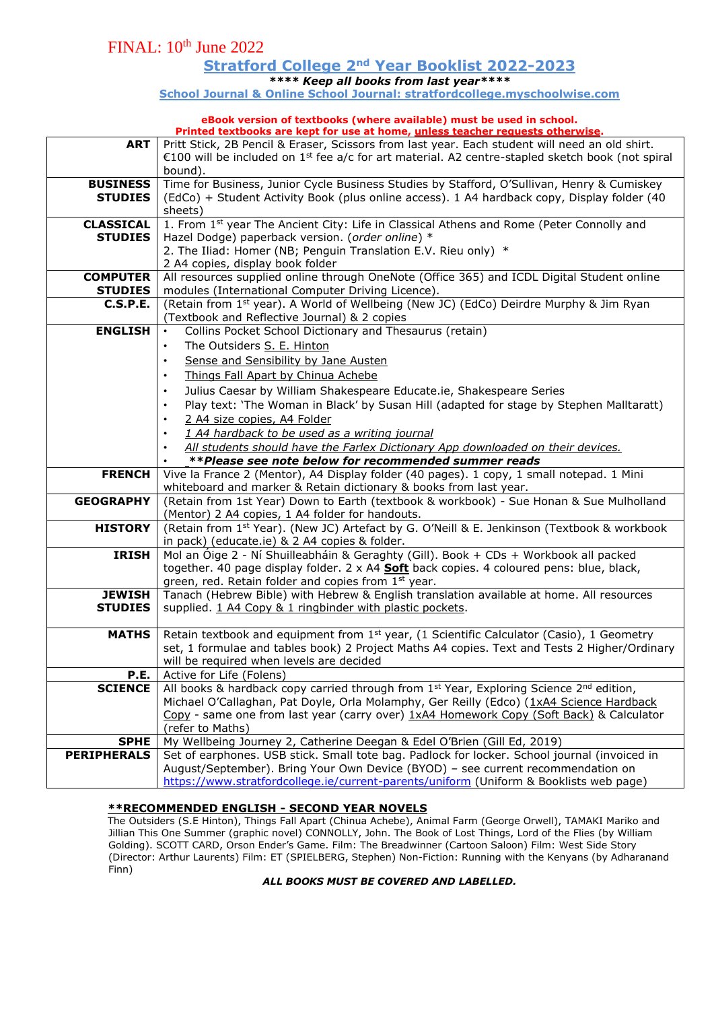**Stratford College 2nd Year Booklist 2022-2023**

*\*\*\*\* Keep all books from last year\*\*\*\**

**School Journal & Online School Journal: stratfordcollege.myschoolwise.com**

# **eBook version of textbooks (where available) must be used in school.**

| Printed textbooks are kept for use at home, unless teacher requests otherwise. |                                                                                                                                                                                                                                                                                                                                                                                                                                                                                                                                                                           |  |  |  |  |  |  |
|--------------------------------------------------------------------------------|---------------------------------------------------------------------------------------------------------------------------------------------------------------------------------------------------------------------------------------------------------------------------------------------------------------------------------------------------------------------------------------------------------------------------------------------------------------------------------------------------------------------------------------------------------------------------|--|--|--|--|--|--|
| <b>ART</b>                                                                     | Pritt Stick, 2B Pencil & Eraser, Scissors from last year. Each student will need an old shirt.<br>€100 will be included on 1 <sup>st</sup> fee a/c for art material. A2 centre-stapled sketch book (not spiral<br>bound).                                                                                                                                                                                                                                                                                                                                                 |  |  |  |  |  |  |
| <b>BUSINESS</b><br><b>STUDIES</b>                                              | Time for Business, Junior Cycle Business Studies by Stafford, O'Sullivan, Henry & Cumiskey<br>(EdCo) + Student Activity Book (plus online access). 1 A4 hardback copy, Display folder (40<br>sheets)                                                                                                                                                                                                                                                                                                                                                                      |  |  |  |  |  |  |
| <b>CLASSICAL</b><br><b>STUDIES</b>                                             | 1. From 1st year The Ancient City: Life in Classical Athens and Rome (Peter Connolly and<br>Hazel Dodge) paperback version. (order online) *<br>2. The Iliad: Homer (NB; Penguin Translation E.V. Rieu only) *<br>2 A4 copies, display book folder                                                                                                                                                                                                                                                                                                                        |  |  |  |  |  |  |
| <b>COMPUTER</b><br><b>STUDIES</b>                                              | All resources supplied online through OneNote (Office 365) and ICDL Digital Student online<br>modules (International Computer Driving Licence).                                                                                                                                                                                                                                                                                                                                                                                                                           |  |  |  |  |  |  |
| <b>C.S.P.E.</b>                                                                | (Retain from 1st year). A World of Wellbeing (New JC) (EdCo) Deirdre Murphy & Jim Ryan<br>(Textbook and Reflective Journal) & 2 copies                                                                                                                                                                                                                                                                                                                                                                                                                                    |  |  |  |  |  |  |
| <b>ENGLISH</b>                                                                 | Collins Pocket School Dictionary and Thesaurus (retain)<br>$\bullet$<br>The Outsiders S. E. Hinton<br>$\bullet$<br>Sense and Sensibility by Jane Austen<br>$\bullet$<br>Things Fall Apart by Chinua Achebe<br>$\bullet$<br>Julius Caesar by William Shakespeare Educate.ie, Shakespeare Series<br>Play text: 'The Woman in Black' by Susan Hill (adapted for stage by Stephen Malltaratt)<br>$\bullet$<br>2 A4 size copies, A4 Folder<br>1 A4 hardback to be used as a writing journal<br>All students should have the Farlex Dictionary App downloaded on their devices. |  |  |  |  |  |  |
|                                                                                | **Please see note below for recommended summer reads                                                                                                                                                                                                                                                                                                                                                                                                                                                                                                                      |  |  |  |  |  |  |
| <b>FRENCH</b>                                                                  | Vive la France 2 (Mentor), A4 Display folder (40 pages). 1 copy, 1 small notepad. 1 Mini<br>whiteboard and marker & Retain dictionary & books from last year.                                                                                                                                                                                                                                                                                                                                                                                                             |  |  |  |  |  |  |
| <b>GEOGRAPHY</b>                                                               | (Retain from 1st Year) Down to Earth (textbook & workbook) - Sue Honan & Sue Mulholland<br>(Mentor) 2 A4 copies, 1 A4 folder for handouts.                                                                                                                                                                                                                                                                                                                                                                                                                                |  |  |  |  |  |  |
| <b>HISTORY</b>                                                                 | (Retain from 1 <sup>st</sup> Year). (New JC) Artefact by G. O'Neill & E. Jenkinson (Textbook & workbook<br>in pack) (educate.ie) & 2 A4 copies & folder.                                                                                                                                                                                                                                                                                                                                                                                                                  |  |  |  |  |  |  |
| <b>IRISH</b>                                                                   | Mol an Óige 2 - Ní Shuilleabháin & Geraghty (Gill). Book + CDs + Workbook all packed<br>together. 40 page display folder. 2 x A4 Soft back copies. 4 coloured pens: blue, black,<br>green, red. Retain folder and copies from 1st year.                                                                                                                                                                                                                                                                                                                                   |  |  |  |  |  |  |
| <b>JEWISH</b><br><b>STUDIES</b>                                                | Tanach (Hebrew Bible) with Hebrew & English translation available at home. All resources<br>supplied. 1 A4 Copy & 1 ringbinder with plastic pockets.                                                                                                                                                                                                                                                                                                                                                                                                                      |  |  |  |  |  |  |
| <b>MATHS</b>                                                                   |                                                                                                                                                                                                                                                                                                                                                                                                                                                                                                                                                                           |  |  |  |  |  |  |
|                                                                                | Retain textbook and equipment from 1 <sup>st</sup> year, (1 Scientific Calculator (Casio), 1 Geometry<br>set, 1 formulae and tables book) 2 Project Maths A4 copies. Text and Tests 2 Higher/Ordinary<br>will be required when levels are decided                                                                                                                                                                                                                                                                                                                         |  |  |  |  |  |  |
| P.E.                                                                           | Active for Life (Folens)                                                                                                                                                                                                                                                                                                                                                                                                                                                                                                                                                  |  |  |  |  |  |  |
| <b>SCIENCE</b>                                                                 | All books & hardback copy carried through from $1st$ Year, Exploring Science $2nd$ edition,<br>Michael O'Callaghan, Pat Doyle, Orla Molamphy, Ger Reilly (Edco) (1xA4 Science Hardback<br>Copy - same one from last year (carry over) 1xA4 Homework Copy (Soft Back) & Calculator<br>(refer to Maths)                                                                                                                                                                                                                                                                     |  |  |  |  |  |  |
|                                                                                |                                                                                                                                                                                                                                                                                                                                                                                                                                                                                                                                                                           |  |  |  |  |  |  |
| <b>SPHE</b><br><b>PERIPHERALS</b>                                              | My Wellbeing Journey 2, Catherine Deegan & Edel O'Brien (Gill Ed, 2019)<br>Set of earphones. USB stick. Small tote bag. Padlock for locker. School journal (invoiced in                                                                                                                                                                                                                                                                                                                                                                                                   |  |  |  |  |  |  |

### **\*\*RECOMMENDED ENGLISH - SECOND YEAR NOVELS**

The Outsiders (S.E Hinton), Things Fall Apart (Chinua Achebe), Animal Farm (George Orwell), TAMAKI Mariko and Jillian This One Summer (graphic novel) CONNOLLY, John. The Book of Lost Things, Lord of the Flies (by William Golding). SCOTT CARD, Orson Ender's Game. Film: The Breadwinner (Cartoon Saloon) Film: West Side Story (Director: Arthur Laurents) Film: ET (SPIELBERG, Stephen) Non-Fiction: Running with the Kenyans (by Adharanand Finn)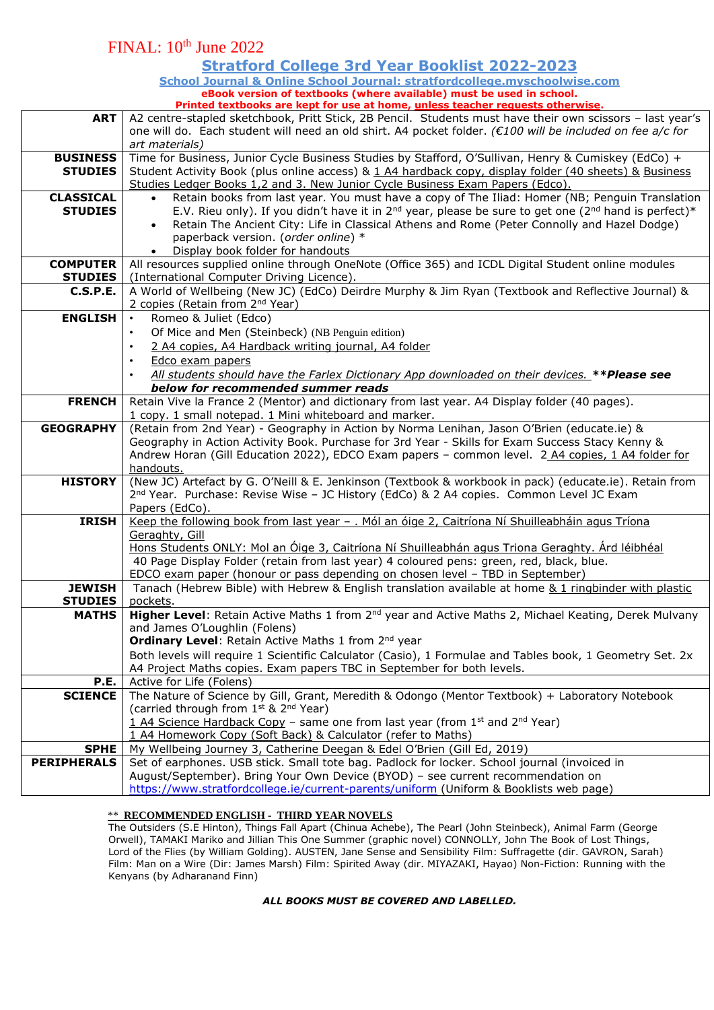### **Stratford College 3rd Year Booklist 2022-2023**

**School Journal & Online School Journal: stratfordcollege.myschoolwise.com eBook version of textbooks (where available) must be used in school.** 

|                             | Printed textbooks are kept for use at home, unless teacher requests otherwise.                                                                                            |  |  |  |  |  |
|-----------------------------|---------------------------------------------------------------------------------------------------------------------------------------------------------------------------|--|--|--|--|--|
| <b>ART</b>                  | A2 centre-stapled sketchbook, Pritt Stick, 2B Pencil. Students must have their own scissors - last year's                                                                 |  |  |  |  |  |
|                             | one will do. Each student will need an old shirt. A4 pocket folder. (€100 will be included on fee a/c for                                                                 |  |  |  |  |  |
|                             | art materials)                                                                                                                                                            |  |  |  |  |  |
| <b>BUSINESS</b>             | Time for Business, Junior Cycle Business Studies by Stafford, O'Sullivan, Henry & Cumiskey (EdCo) +                                                                       |  |  |  |  |  |
| <b>STUDIES</b>              | Student Activity Book (plus online access) & 1 A4 hardback copy, display folder (40 sheets) & Business                                                                    |  |  |  |  |  |
|                             | Studies Ledger Books 1,2 and 3. New Junior Cycle Business Exam Papers (Edco).                                                                                             |  |  |  |  |  |
| <b>CLASSICAL</b>            | Retain books from last year. You must have a copy of The Iliad: Homer (NB; Penguin Translation                                                                            |  |  |  |  |  |
| <b>STUDIES</b>              | E.V. Rieu only). If you didn't have it in 2 <sup>nd</sup> year, please be sure to get one (2 <sup>nd</sup> hand is perfect)*                                              |  |  |  |  |  |
|                             | Retain The Ancient City: Life in Classical Athens and Rome (Peter Connolly and Hazel Dodge)                                                                               |  |  |  |  |  |
|                             | paperback version. (order online) *                                                                                                                                       |  |  |  |  |  |
|                             | Display book folder for handouts                                                                                                                                          |  |  |  |  |  |
| <b>COMPUTER</b>             | All resources supplied online through OneNote (Office 365) and ICDL Digital Student online modules                                                                        |  |  |  |  |  |
| <b>STUDIES</b>              | (International Computer Driving Licence).                                                                                                                                 |  |  |  |  |  |
| <b>C.S.P.E.</b>             | A World of Wellbeing (New JC) (EdCo) Deirdre Murphy & Jim Ryan (Textbook and Reflective Journal) &                                                                        |  |  |  |  |  |
|                             | 2 copies (Retain from 2 <sup>nd</sup> Year)                                                                                                                               |  |  |  |  |  |
| <b>ENGLISH</b><br>$\bullet$ | Romeo & Juliet (Edco)                                                                                                                                                     |  |  |  |  |  |
| $\bullet$                   | Of Mice and Men (Steinbeck) (NB Penguin edition)                                                                                                                          |  |  |  |  |  |
| $\bullet$                   | 2 A4 copies, A4 Hardback writing journal, A4 folder                                                                                                                       |  |  |  |  |  |
| $\bullet$                   | Edco exam papers                                                                                                                                                          |  |  |  |  |  |
|                             |                                                                                                                                                                           |  |  |  |  |  |
|                             | All students should have the Farlex Dictionary App downloaded on their devices. **Please see<br>below for recommended summer reads                                        |  |  |  |  |  |
| <b>FRENCH</b>               | Retain Vive la France 2 (Mentor) and dictionary from last year. A4 Display folder (40 pages).                                                                             |  |  |  |  |  |
|                             | 1 copy. 1 small notepad. 1 Mini whiteboard and marker.                                                                                                                    |  |  |  |  |  |
| <b>GEOGRAPHY</b>            | (Retain from 2nd Year) - Geography in Action by Norma Lenihan, Jason O'Brien (educate.ie) &                                                                               |  |  |  |  |  |
|                             | Geography in Action Activity Book. Purchase for 3rd Year - Skills for Exam Success Stacy Kenny &                                                                          |  |  |  |  |  |
|                             | Andrew Horan (Gill Education 2022), EDCO Exam papers - common level. 2 A4 copies, 1 A4 folder for                                                                         |  |  |  |  |  |
|                             | handouts.                                                                                                                                                                 |  |  |  |  |  |
| <b>HISTORY</b>              | (New JC) Artefact by G. O'Neill & E. Jenkinson (Textbook & workbook in pack) (educate.ie). Retain from                                                                    |  |  |  |  |  |
|                             | 2 <sup>nd</sup> Year. Purchase: Revise Wise - JC History (EdCo) & 2 A4 copies. Common Level JC Exam                                                                       |  |  |  |  |  |
|                             | Papers (EdCo).                                                                                                                                                            |  |  |  |  |  |
| <b>IRISH</b>                | <u>Keep the following book from last year - . Mól an óige 2, Caitríona Ní Shuilleabháin agus Tríona</u>                                                                   |  |  |  |  |  |
|                             |                                                                                                                                                                           |  |  |  |  |  |
|                             |                                                                                                                                                                           |  |  |  |  |  |
|                             | Geraghty, Gill                                                                                                                                                            |  |  |  |  |  |
|                             | Hons Students ONLY: Mol an Óige 3, Caitríona Ní Shuilleabhán agus Triona Geraghty. Árd léibhéal                                                                           |  |  |  |  |  |
|                             | 40 Page Display Folder (retain from last year) 4 coloured pens: green, red, black, blue.<br>EDCO exam paper (honour or pass depending on chosen level - TBD in September) |  |  |  |  |  |
| <b>JEWISH</b>               | Tanach (Hebrew Bible) with Hebrew & English translation available at home & 1 ringbinder with plastic                                                                     |  |  |  |  |  |
| <b>STUDIES</b>              | pockets.                                                                                                                                                                  |  |  |  |  |  |
| <b>MATHS</b>                | Higher Level: Retain Active Maths 1 from 2 <sup>nd</sup> year and Active Maths 2, Michael Keating, Derek Mulvany                                                          |  |  |  |  |  |
|                             | and James O'Loughlin (Folens)                                                                                                                                             |  |  |  |  |  |
|                             | Ordinary Level: Retain Active Maths 1 from 2nd year                                                                                                                       |  |  |  |  |  |
|                             | Both levels will require 1 Scientific Calculator (Casio), 1 Formulae and Tables book, 1 Geometry Set. 2x                                                                  |  |  |  |  |  |
|                             | A4 Project Maths copies. Exam papers TBC in September for both levels.                                                                                                    |  |  |  |  |  |
| P.E.                        | Active for Life (Folens)                                                                                                                                                  |  |  |  |  |  |
| <b>SCIENCE</b>              | The Nature of Science by Gill, Grant, Meredith & Odongo (Mentor Textbook) + Laboratory Notebook                                                                           |  |  |  |  |  |
|                             | (carried through from 1 <sup>st</sup> & 2 <sup>nd</sup> Year)                                                                                                             |  |  |  |  |  |
|                             | 1 A4 Science Hardback Copy - same one from last year (from 1st and $2^{nd}$ Year)                                                                                         |  |  |  |  |  |
|                             | 1 A4 Homework Copy (Soft Back) & Calculator (refer to Maths)                                                                                                              |  |  |  |  |  |
| <b>SPHE</b>                 | My Wellbeing Journey 3, Catherine Deegan & Edel O'Brien (Gill Ed, 2019)                                                                                                   |  |  |  |  |  |
| <b>PERIPHERALS</b>          | Set of earphones. USB stick. Small tote bag. Padlock for locker. School journal (invoiced in                                                                              |  |  |  |  |  |
|                             | August/September). Bring Your Own Device (BYOD) - see current recommendation on<br>https://www.stratfordcollege.ie/current-parents/uniform (Uniform & Booklists web page) |  |  |  |  |  |

### \*\* **RECOMMENDED ENGLISH - THIRD YEAR NOVELS**

The Outsiders (S.E Hinton), Things Fall Apart (Chinua Achebe), The Pearl (John Steinbeck), Animal Farm (George Orwell), TAMAKI Mariko and Jillian This One Summer (graphic novel) CONNOLLY, John The Book of Lost Things, Lord of the Flies (by William Golding). AUSTEN, Jane Sense and Sensibility Film: Suffragette (dir. GAVRON, Sarah) Film: Man on a Wire (Dir: James Marsh) Film: Spirited Away (dir. MIYAZAKI, Hayao) Non-Fiction: Running with the Kenyans (by Adharanand Finn)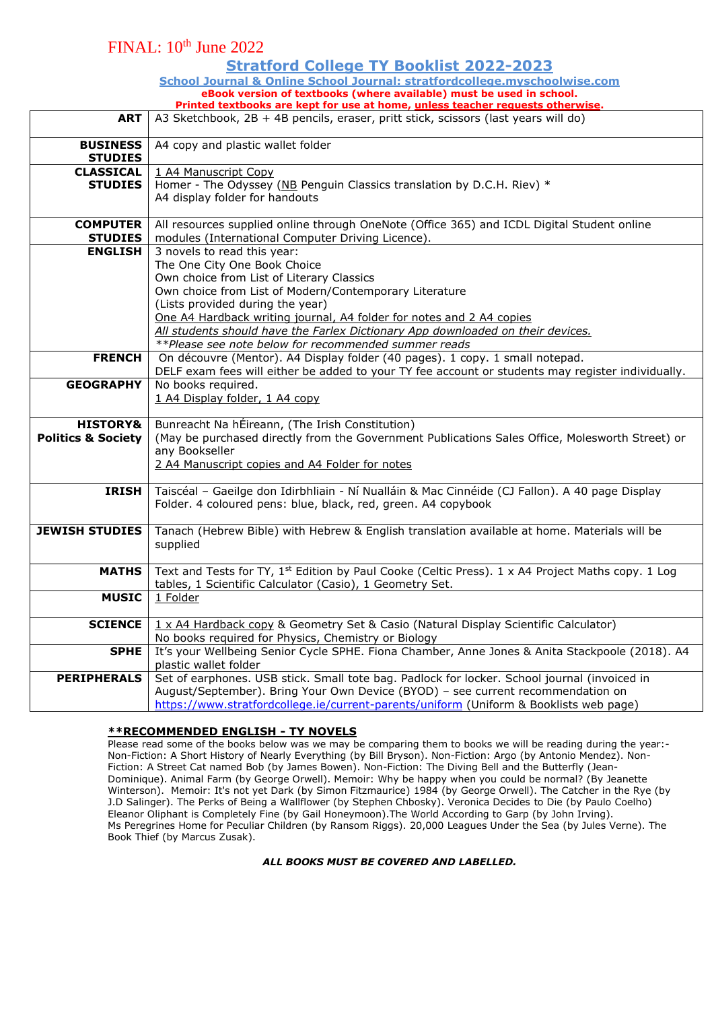## FINAL: 10th June 2022

### **Stratford College TY Booklist 2022-2023**

**School Journal & Online School Journal: stratfordcollege.myschoolwise.com eBook version of textbooks (where available) must be used in school. Printed textbooks are kept for use at home, unless teacher requests otherwise.** 

| ART                                                  | A3 Sketchbook, 2B + 4B pencils, eraser, pritt stick, scissors (last years will do)                                                                                                                                                                                                                                                                                                                                        |  |  |  |  |
|------------------------------------------------------|---------------------------------------------------------------------------------------------------------------------------------------------------------------------------------------------------------------------------------------------------------------------------------------------------------------------------------------------------------------------------------------------------------------------------|--|--|--|--|
| <b>BUSINESS</b><br><b>STUDIES</b>                    | A4 copy and plastic wallet folder                                                                                                                                                                                                                                                                                                                                                                                         |  |  |  |  |
| <b>CLASSICAL</b><br><b>STUDIES</b>                   | 1 A4 Manuscript Copy<br>Homer - The Odyssey (NB Penguin Classics translation by D.C.H. Riev) *<br>A4 display folder for handouts                                                                                                                                                                                                                                                                                          |  |  |  |  |
| <b>COMPUTER</b><br><b>STUDIES</b>                    | All resources supplied online through OneNote (Office 365) and ICDL Digital Student online<br>modules (International Computer Driving Licence).                                                                                                                                                                                                                                                                           |  |  |  |  |
| <b>ENGLISH</b>                                       | 3 novels to read this year:<br>The One City One Book Choice<br>Own choice from List of Literary Classics<br>Own choice from List of Modern/Contemporary Literature<br>(Lists provided during the year)<br>One A4 Hardback writing journal, A4 folder for notes and 2 A4 copies<br>All students should have the Farlex Dictionary App downloaded on their devices.<br>**Please see note below for recommended summer reads |  |  |  |  |
| <b>FRENCH</b>                                        | On découvre (Mentor). A4 Display folder (40 pages). 1 copy. 1 small notepad.<br>DELF exam fees will either be added to your TY fee account or students may register individually.                                                                                                                                                                                                                                         |  |  |  |  |
| <b>GEOGRAPHY</b>                                     | No books required.<br>1 A4 Display folder, 1 A4 copy                                                                                                                                                                                                                                                                                                                                                                      |  |  |  |  |
| <b>HISTORY&amp;</b><br><b>Politics &amp; Society</b> | Bunreacht Na hÉireann, (The Irish Constitution)<br>(May be purchased directly from the Government Publications Sales Office, Molesworth Street) or<br>any Bookseller<br>2 A4 Manuscript copies and A4 Folder for notes                                                                                                                                                                                                    |  |  |  |  |
| <b>IRISH</b>                                         | Taiscéal - Gaeilge don Idirbhliain - Ní Nualláin & Mac Cinnéide (CJ Fallon). A 40 page Display<br>Folder. 4 coloured pens: blue, black, red, green. A4 copybook                                                                                                                                                                                                                                                           |  |  |  |  |
| <b>JEWISH STUDIES</b>                                | Tanach (Hebrew Bible) with Hebrew & English translation available at home. Materials will be<br>supplied                                                                                                                                                                                                                                                                                                                  |  |  |  |  |
| <b>MATHS</b>                                         | Text and Tests for TY, 1 <sup>st</sup> Edition by Paul Cooke (Celtic Press). 1 x A4 Project Maths copy. 1 Log<br>tables, 1 Scientific Calculator (Casio), 1 Geometry Set.                                                                                                                                                                                                                                                 |  |  |  |  |
| <b>MUSIC</b>                                         | 1 Folder                                                                                                                                                                                                                                                                                                                                                                                                                  |  |  |  |  |
| <b>SCIENCE</b>                                       | 1 x A4 Hardback copy & Geometry Set & Casio (Natural Display Scientific Calculator)<br>No books required for Physics, Chemistry or Biology                                                                                                                                                                                                                                                                                |  |  |  |  |
| <b>SPHE</b>                                          | It's your Wellbeing Senior Cycle SPHE. Fiona Chamber, Anne Jones & Anita Stackpoole (2018). A4<br>plastic wallet folder                                                                                                                                                                                                                                                                                                   |  |  |  |  |
| <b>PERIPHERALS</b>                                   | Set of earphones. USB stick. Small tote bag. Padlock for locker. School journal (invoiced in<br>August/September). Bring Your Own Device (BYOD) - see current recommendation on<br>https://www.stratfordcollege.ie/current-parents/uniform (Uniform & Booklists web page)                                                                                                                                                 |  |  |  |  |

### **\*\*RECOMMENDED ENGLISH - TY NOVELS**

Please read some of the books below was we may be comparing them to books we will be reading during the year:- Non-Fiction: A Short History of Nearly Everything (by Bill Bryson). Non-Fiction: Argo (by Antonio Mendez). Non-Fiction: A Street Cat named Bob (by James Bowen). Non-Fiction: The Diving Bell and the Butterfly (Jean-Dominique). Animal Farm (by George Orwell). Memoir: Why be happy when you could be normal? (By Jeanette Winterson). Memoir: It's not yet Dark (by Simon Fitzmaurice) 1984 (by George Orwell). The Catcher in the Rye (by J.D Salinger). The Perks of Being a Wallflower (by Stephen Chbosky). Veronica Decides to Die (by Paulo Coelho) Eleanor Oliphant is Completely Fine (by Gail Honeymoon).The World According to Garp (by John Irving). Ms Peregrines Home for Peculiar Children (by Ransom Riggs). 20,000 Leagues Under the Sea (by Jules Verne). The Book Thief (by Marcus Zusak).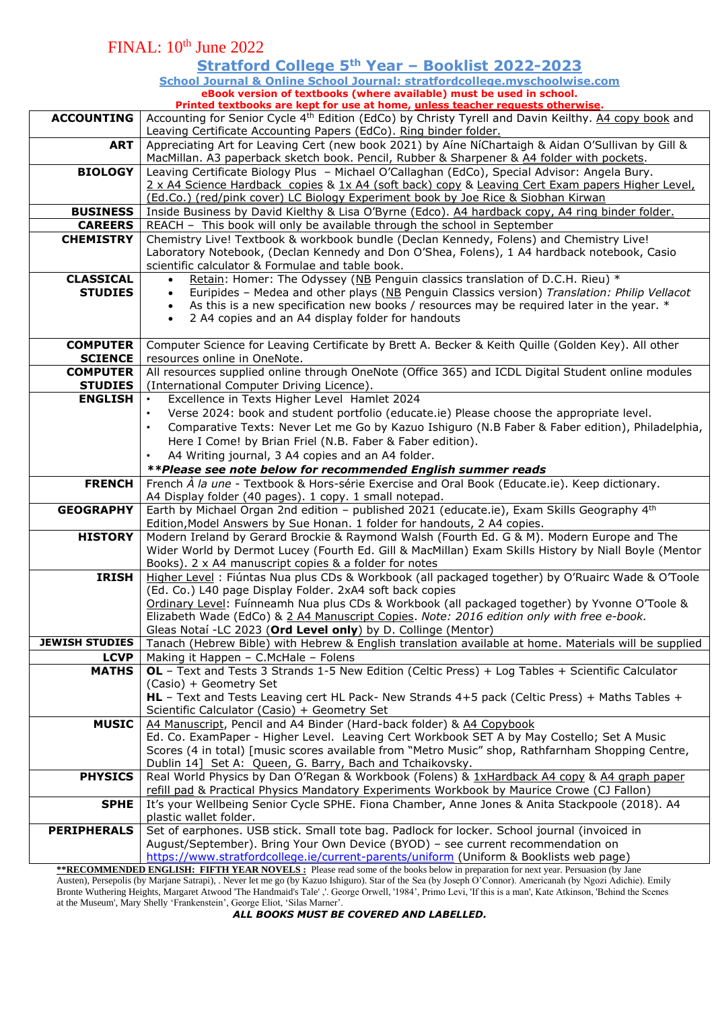| Stratford College 5th Year - Booklist 2022-2023<br>School Journal & Online School Journal: stratfordcollege.myschoolwise.com<br>eBook version of textbooks (where available) must be used in school.<br>Printed textbooks are kept for use at home, unless teacher requests otherwise.<br><b>ACCOUNTING</b><br>Accounting for Senior Cycle 4 <sup>th</sup> Edition (EdCo) by Christy Tyrell and Davin Keilthy. A4 copy book and<br>Leaving Certificate Accounting Papers (EdCo). Ring binder folder.<br>Appreciating Art for Leaving Cert (new book 2021) by Aíne NíChartaigh & Aidan O'Sullivan by Gill &<br><b>ART</b><br>MacMillan. A3 paperback sketch book. Pencil, Rubber & Sharpener & A4 folder with pockets.<br><b>BIOLOGY</b><br>Leaving Certificate Biology Plus - Michael O'Callaghan (EdCo), Special Advisor: Angela Bury.<br>2 x A4 Science Hardback copies & 1x A4 (soft back) copy & Leaving Cert Exam papers Higher Level,<br>(Ed.Co.) (red/pink cover) LC Biology Experiment book by Joe Rice & Siobhan Kirwan<br><b>BUSINESS</b><br>Inside Business by David Kielthy & Lisa O'Byrne (Edco). A4 hardback copy, A4 ring binder folder.<br><b>CAREERS</b><br>REACH - This book will only be available through the school in September<br><b>CHEMISTRY</b><br>Chemistry Live! Textbook & workbook bundle (Declan Kennedy, Folens) and Chemistry Live!<br>Laboratory Notebook, (Declan Kennedy and Don O'Shea, Folens), 1 A4 hardback notebook, Casio<br>scientific calculator & Formulae and table book.<br><b>CLASSICAL</b><br>Retain: Homer: The Odyssey (NB Penguin classics translation of D.C.H. Rieu) *<br>Euripides - Medea and other plays (NB Penguin Classics version) Translation: Philip Vellacot<br><b>STUDIES</b><br>$\bullet$<br>As this is a new specification new books / resources may be required later in the year. *<br>2 A4 copies and an A4 display folder for handouts<br><b>COMPUTER</b><br>Computer Science for Leaving Certificate by Brett A. Becker & Keith Quille (Golden Key). All other<br><b>SCIENCE</b><br>resources online in OneNote.<br>All resources supplied online through OneNote (Office 365) and ICDL Digital Student online modules<br><b>COMPUTER</b><br><b>STUDIES</b><br>(International Computer Driving Licence).<br><b>ENGLISH</b><br>Excellence in Texts Higher Level Hamlet 2024<br>Verse 2024: book and student portfolio (educate.ie) Please choose the appropriate level.<br>$\bullet$<br>Comparative Texts: Never Let me Go by Kazuo Ishiguro (N.B Faber & Faber edition), Philadelphia,<br>$\bullet$<br>Here I Come! by Brian Friel (N.B. Faber & Faber edition).<br>A4 Writing journal, 3 A4 copies and an A4 folder.<br>**Please see note below for recommended English summer reads<br>French À la une - Textbook & Hors-série Exercise and Oral Book (Educate.ie). Keep dictionary.<br><b>FRENCH</b><br>A4 Display folder (40 pages). 1 copy. 1 small notepad.<br>Earth by Michael Organ 2nd edition - published 2021 (educate.ie), Exam Skills Geography 4th<br><b>GEOGRAPHY</b><br>Edition, Model Answers by Sue Honan. 1 folder for handouts, 2 A4 copies.<br>Modern Ireland by Gerard Brockie & Raymond Walsh (Fourth Ed. G & M). Modern Europe and The<br><b>HISTORY</b><br>Wider World by Dermot Lucey (Fourth Ed. Gill & MacMillan) Exam Skills History by Niall Boyle (Mentor<br>Books). 2 x A4 manuscript copies & a folder for notes<br>Higher Level: Fiúntas Nua plus CDs & Workbook (all packaged together) by O'Ruairc Wade & O'Toole<br><b>IRISH</b><br>(Ed. Co.) L40 page Display Folder. 2xA4 soft back copies<br>Ordinary Level: Fuínneamh Nua plus CDs & Workbook (all packaged together) by Yvonne O'Toole &<br>Elizabeth Wade (EdCo) & 2 A4 Manuscript Copies. Note: 2016 edition only with free e-book.<br>Gleas Notaí -LC 2023 (Ord Level only) by D. Collinge (Mentor)<br><b>JEWISH STUDIES</b><br>Tanach (Hebrew Bible) with Hebrew & English translation available at home. Materials will be supplied<br>Making it Happen - C.McHale - Folens<br><b>LCVP</b><br>OL - Text and Tests 3 Strands 1-5 New Edition (Celtic Press) + Log Tables + Scientific Calculator<br><b>MATHS</b><br>(Casio) + Geometry Set<br>HL - Text and Tests Leaving cert HL Pack- New Strands 4+5 pack (Celtic Press) + Maths Tables +<br>Scientific Calculator (Casio) + Geometry Set<br>A4 Manuscript, Pencil and A4 Binder (Hard-back folder) & A4 Copybook<br><b>MUSIC</b><br>Ed. Co. ExamPaper - Higher Level. Leaving Cert Workbook SET A by May Costello; Set A Music<br>Scores (4 in total) [music scores available from "Metro Music" shop, Rathfarnham Shopping Centre,<br>Dublin 14] Set A: Queen, G. Barry, Bach and Tchaikovsky.<br>Real World Physics by Dan O'Regan & Workbook (Folens) & 1xHardback A4 copy & A4 graph paper<br><b>PHYSICS</b><br>refill pad & Practical Physics Mandatory Experiments Workbook by Maurice Crowe (CJ Fallon)<br>It's your Wellbeing Senior Cycle SPHE. Fiona Chamber, Anne Jones & Anita Stackpoole (2018). A4<br><b>SPHE</b><br>plastic wallet folder.<br><b>PERIPHERALS</b><br>Set of earphones. USB stick. Small tote bag. Padlock for locker. School journal (invoiced in<br>August/September). Bring Your Own Device (BYOD) - see current recommendation on<br>https://www.stratfordcollege.ie/current-parents/uniform (Uniform & Booklists web page)<br><b>**RECOMMENDED ENGLISH: FIFTH YEAR NOVELS:</b> Please read some of the books below in preparation for next year. Persuasion (by Jane |  | FINAL: 10 <sup>th</sup> June 2022 |  |  |  |  |  |
|----------------------------------------------------------------------------------------------------------------------------------------------------------------------------------------------------------------------------------------------------------------------------------------------------------------------------------------------------------------------------------------------------------------------------------------------------------------------------------------------------------------------------------------------------------------------------------------------------------------------------------------------------------------------------------------------------------------------------------------------------------------------------------------------------------------------------------------------------------------------------------------------------------------------------------------------------------------------------------------------------------------------------------------------------------------------------------------------------------------------------------------------------------------------------------------------------------------------------------------------------------------------------------------------------------------------------------------------------------------------------------------------------------------------------------------------------------------------------------------------------------------------------------------------------------------------------------------------------------------------------------------------------------------------------------------------------------------------------------------------------------------------------------------------------------------------------------------------------------------------------------------------------------------------------------------------------------------------------------------------------------------------------------------------------------------------------------------------------------------------------------------------------------------------------------------------------------------------------------------------------------------------------------------------------------------------------------------------------------------------------------------------------------------------------------------------------------------------------------------------------------------------------------------------------------------------------------------------------------------------------------------------------------------------------------------------------------------------------------------------------------------------------------------------------------------------------------------------------------------------------------------------------------------------------------------------------------------------------------------------------------------------------------------------------------------------------------------------------------------------------------------------------------------------------------------------------------------------------------------------------------------------------------------------------------------------------------------------------------------------------------------------------------------------------------------------------------------------------------------------------------------------------------------------------------------------------------------------------------------------------------------------------------------------------------------------------------------------------------------------------------------------------------------------------------------------------------------------------------------------------------------------------------------------------------------------------------------------------------------------------------------------------------------------------------------------------------------------------------------------------------------------------------------------------------------------------------------------------------------------------------------------------------------------------------------------------------------------------------------------------------------------------------------------------------------------------------------------------------------------------------------------------------------------------------------------------------------------------------------------------------------------------------------------------------------------------------------------------------------------------------------------------------------------------------------------------------------------------------------------------------------------------------------------------------------------------------------------------------------------------------------------------------------------------------------------------------------------------------------------------------------------------------------------------------------------------------------------------------------------------------------------------------------------------------------------------------------------------------------------------------------------------------------------------------------------------------------------------------------------------------------------------------|--|-----------------------------------|--|--|--|--|--|
|                                                                                                                                                                                                                                                                                                                                                                                                                                                                                                                                                                                                                                                                                                                                                                                                                                                                                                                                                                                                                                                                                                                                                                                                                                                                                                                                                                                                                                                                                                                                                                                                                                                                                                                                                                                                                                                                                                                                                                                                                                                                                                                                                                                                                                                                                                                                                                                                                                                                                                                                                                                                                                                                                                                                                                                                                                                                                                                                                                                                                                                                                                                                                                                                                                                                                                                                                                                                                                                                                                                                                                                                                                                                                                                                                                                                                                                                                                                                                                                                                                                                                                                                                                                                                                                                                                                                                                                                                                                                                                                                                                                                                                                                                                                                                                                                                                                                                                                                                                                                                                                                                                                                                                                                                                                                                                                                                                                                                                                                                                                                  |  |                                   |  |  |  |  |  |
|                                                                                                                                                                                                                                                                                                                                                                                                                                                                                                                                                                                                                                                                                                                                                                                                                                                                                                                                                                                                                                                                                                                                                                                                                                                                                                                                                                                                                                                                                                                                                                                                                                                                                                                                                                                                                                                                                                                                                                                                                                                                                                                                                                                                                                                                                                                                                                                                                                                                                                                                                                                                                                                                                                                                                                                                                                                                                                                                                                                                                                                                                                                                                                                                                                                                                                                                                                                                                                                                                                                                                                                                                                                                                                                                                                                                                                                                                                                                                                                                                                                                                                                                                                                                                                                                                                                                                                                                                                                                                                                                                                                                                                                                                                                                                                                                                                                                                                                                                                                                                                                                                                                                                                                                                                                                                                                                                                                                                                                                                                                                  |  |                                   |  |  |  |  |  |
|                                                                                                                                                                                                                                                                                                                                                                                                                                                                                                                                                                                                                                                                                                                                                                                                                                                                                                                                                                                                                                                                                                                                                                                                                                                                                                                                                                                                                                                                                                                                                                                                                                                                                                                                                                                                                                                                                                                                                                                                                                                                                                                                                                                                                                                                                                                                                                                                                                                                                                                                                                                                                                                                                                                                                                                                                                                                                                                                                                                                                                                                                                                                                                                                                                                                                                                                                                                                                                                                                                                                                                                                                                                                                                                                                                                                                                                                                                                                                                                                                                                                                                                                                                                                                                                                                                                                                                                                                                                                                                                                                                                                                                                                                                                                                                                                                                                                                                                                                                                                                                                                                                                                                                                                                                                                                                                                                                                                                                                                                                                                  |  |                                   |  |  |  |  |  |
|                                                                                                                                                                                                                                                                                                                                                                                                                                                                                                                                                                                                                                                                                                                                                                                                                                                                                                                                                                                                                                                                                                                                                                                                                                                                                                                                                                                                                                                                                                                                                                                                                                                                                                                                                                                                                                                                                                                                                                                                                                                                                                                                                                                                                                                                                                                                                                                                                                                                                                                                                                                                                                                                                                                                                                                                                                                                                                                                                                                                                                                                                                                                                                                                                                                                                                                                                                                                                                                                                                                                                                                                                                                                                                                                                                                                                                                                                                                                                                                                                                                                                                                                                                                                                                                                                                                                                                                                                                                                                                                                                                                                                                                                                                                                                                                                                                                                                                                                                                                                                                                                                                                                                                                                                                                                                                                                                                                                                                                                                                                                  |  |                                   |  |  |  |  |  |
|                                                                                                                                                                                                                                                                                                                                                                                                                                                                                                                                                                                                                                                                                                                                                                                                                                                                                                                                                                                                                                                                                                                                                                                                                                                                                                                                                                                                                                                                                                                                                                                                                                                                                                                                                                                                                                                                                                                                                                                                                                                                                                                                                                                                                                                                                                                                                                                                                                                                                                                                                                                                                                                                                                                                                                                                                                                                                                                                                                                                                                                                                                                                                                                                                                                                                                                                                                                                                                                                                                                                                                                                                                                                                                                                                                                                                                                                                                                                                                                                                                                                                                                                                                                                                                                                                                                                                                                                                                                                                                                                                                                                                                                                                                                                                                                                                                                                                                                                                                                                                                                                                                                                                                                                                                                                                                                                                                                                                                                                                                                                  |  |                                   |  |  |  |  |  |
|                                                                                                                                                                                                                                                                                                                                                                                                                                                                                                                                                                                                                                                                                                                                                                                                                                                                                                                                                                                                                                                                                                                                                                                                                                                                                                                                                                                                                                                                                                                                                                                                                                                                                                                                                                                                                                                                                                                                                                                                                                                                                                                                                                                                                                                                                                                                                                                                                                                                                                                                                                                                                                                                                                                                                                                                                                                                                                                                                                                                                                                                                                                                                                                                                                                                                                                                                                                                                                                                                                                                                                                                                                                                                                                                                                                                                                                                                                                                                                                                                                                                                                                                                                                                                                                                                                                                                                                                                                                                                                                                                                                                                                                                                                                                                                                                                                                                                                                                                                                                                                                                                                                                                                                                                                                                                                                                                                                                                                                                                                                                  |  |                                   |  |  |  |  |  |
|                                                                                                                                                                                                                                                                                                                                                                                                                                                                                                                                                                                                                                                                                                                                                                                                                                                                                                                                                                                                                                                                                                                                                                                                                                                                                                                                                                                                                                                                                                                                                                                                                                                                                                                                                                                                                                                                                                                                                                                                                                                                                                                                                                                                                                                                                                                                                                                                                                                                                                                                                                                                                                                                                                                                                                                                                                                                                                                                                                                                                                                                                                                                                                                                                                                                                                                                                                                                                                                                                                                                                                                                                                                                                                                                                                                                                                                                                                                                                                                                                                                                                                                                                                                                                                                                                                                                                                                                                                                                                                                                                                                                                                                                                                                                                                                                                                                                                                                                                                                                                                                                                                                                                                                                                                                                                                                                                                                                                                                                                                                                  |  |                                   |  |  |  |  |  |
|                                                                                                                                                                                                                                                                                                                                                                                                                                                                                                                                                                                                                                                                                                                                                                                                                                                                                                                                                                                                                                                                                                                                                                                                                                                                                                                                                                                                                                                                                                                                                                                                                                                                                                                                                                                                                                                                                                                                                                                                                                                                                                                                                                                                                                                                                                                                                                                                                                                                                                                                                                                                                                                                                                                                                                                                                                                                                                                                                                                                                                                                                                                                                                                                                                                                                                                                                                                                                                                                                                                                                                                                                                                                                                                                                                                                                                                                                                                                                                                                                                                                                                                                                                                                                                                                                                                                                                                                                                                                                                                                                                                                                                                                                                                                                                                                                                                                                                                                                                                                                                                                                                                                                                                                                                                                                                                                                                                                                                                                                                                                  |  |                                   |  |  |  |  |  |
|                                                                                                                                                                                                                                                                                                                                                                                                                                                                                                                                                                                                                                                                                                                                                                                                                                                                                                                                                                                                                                                                                                                                                                                                                                                                                                                                                                                                                                                                                                                                                                                                                                                                                                                                                                                                                                                                                                                                                                                                                                                                                                                                                                                                                                                                                                                                                                                                                                                                                                                                                                                                                                                                                                                                                                                                                                                                                                                                                                                                                                                                                                                                                                                                                                                                                                                                                                                                                                                                                                                                                                                                                                                                                                                                                                                                                                                                                                                                                                                                                                                                                                                                                                                                                                                                                                                                                                                                                                                                                                                                                                                                                                                                                                                                                                                                                                                                                                                                                                                                                                                                                                                                                                                                                                                                                                                                                                                                                                                                                                                                  |  |                                   |  |  |  |  |  |
|                                                                                                                                                                                                                                                                                                                                                                                                                                                                                                                                                                                                                                                                                                                                                                                                                                                                                                                                                                                                                                                                                                                                                                                                                                                                                                                                                                                                                                                                                                                                                                                                                                                                                                                                                                                                                                                                                                                                                                                                                                                                                                                                                                                                                                                                                                                                                                                                                                                                                                                                                                                                                                                                                                                                                                                                                                                                                                                                                                                                                                                                                                                                                                                                                                                                                                                                                                                                                                                                                                                                                                                                                                                                                                                                                                                                                                                                                                                                                                                                                                                                                                                                                                                                                                                                                                                                                                                                                                                                                                                                                                                                                                                                                                                                                                                                                                                                                                                                                                                                                                                                                                                                                                                                                                                                                                                                                                                                                                                                                                                                  |  |                                   |  |  |  |  |  |
|                                                                                                                                                                                                                                                                                                                                                                                                                                                                                                                                                                                                                                                                                                                                                                                                                                                                                                                                                                                                                                                                                                                                                                                                                                                                                                                                                                                                                                                                                                                                                                                                                                                                                                                                                                                                                                                                                                                                                                                                                                                                                                                                                                                                                                                                                                                                                                                                                                                                                                                                                                                                                                                                                                                                                                                                                                                                                                                                                                                                                                                                                                                                                                                                                                                                                                                                                                                                                                                                                                                                                                                                                                                                                                                                                                                                                                                                                                                                                                                                                                                                                                                                                                                                                                                                                                                                                                                                                                                                                                                                                                                                                                                                                                                                                                                                                                                                                                                                                                                                                                                                                                                                                                                                                                                                                                                                                                                                                                                                                                                                  |  |                                   |  |  |  |  |  |
|                                                                                                                                                                                                                                                                                                                                                                                                                                                                                                                                                                                                                                                                                                                                                                                                                                                                                                                                                                                                                                                                                                                                                                                                                                                                                                                                                                                                                                                                                                                                                                                                                                                                                                                                                                                                                                                                                                                                                                                                                                                                                                                                                                                                                                                                                                                                                                                                                                                                                                                                                                                                                                                                                                                                                                                                                                                                                                                                                                                                                                                                                                                                                                                                                                                                                                                                                                                                                                                                                                                                                                                                                                                                                                                                                                                                                                                                                                                                                                                                                                                                                                                                                                                                                                                                                                                                                                                                                                                                                                                                                                                                                                                                                                                                                                                                                                                                                                                                                                                                                                                                                                                                                                                                                                                                                                                                                                                                                                                                                                                                  |  |                                   |  |  |  |  |  |
|                                                                                                                                                                                                                                                                                                                                                                                                                                                                                                                                                                                                                                                                                                                                                                                                                                                                                                                                                                                                                                                                                                                                                                                                                                                                                                                                                                                                                                                                                                                                                                                                                                                                                                                                                                                                                                                                                                                                                                                                                                                                                                                                                                                                                                                                                                                                                                                                                                                                                                                                                                                                                                                                                                                                                                                                                                                                                                                                                                                                                                                                                                                                                                                                                                                                                                                                                                                                                                                                                                                                                                                                                                                                                                                                                                                                                                                                                                                                                                                                                                                                                                                                                                                                                                                                                                                                                                                                                                                                                                                                                                                                                                                                                                                                                                                                                                                                                                                                                                                                                                                                                                                                                                                                                                                                                                                                                                                                                                                                                                                                  |  |                                   |  |  |  |  |  |
|                                                                                                                                                                                                                                                                                                                                                                                                                                                                                                                                                                                                                                                                                                                                                                                                                                                                                                                                                                                                                                                                                                                                                                                                                                                                                                                                                                                                                                                                                                                                                                                                                                                                                                                                                                                                                                                                                                                                                                                                                                                                                                                                                                                                                                                                                                                                                                                                                                                                                                                                                                                                                                                                                                                                                                                                                                                                                                                                                                                                                                                                                                                                                                                                                                                                                                                                                                                                                                                                                                                                                                                                                                                                                                                                                                                                                                                                                                                                                                                                                                                                                                                                                                                                                                                                                                                                                                                                                                                                                                                                                                                                                                                                                                                                                                                                                                                                                                                                                                                                                                                                                                                                                                                                                                                                                                                                                                                                                                                                                                                                  |  |                                   |  |  |  |  |  |
|                                                                                                                                                                                                                                                                                                                                                                                                                                                                                                                                                                                                                                                                                                                                                                                                                                                                                                                                                                                                                                                                                                                                                                                                                                                                                                                                                                                                                                                                                                                                                                                                                                                                                                                                                                                                                                                                                                                                                                                                                                                                                                                                                                                                                                                                                                                                                                                                                                                                                                                                                                                                                                                                                                                                                                                                                                                                                                                                                                                                                                                                                                                                                                                                                                                                                                                                                                                                                                                                                                                                                                                                                                                                                                                                                                                                                                                                                                                                                                                                                                                                                                                                                                                                                                                                                                                                                                                                                                                                                                                                                                                                                                                                                                                                                                                                                                                                                                                                                                                                                                                                                                                                                                                                                                                                                                                                                                                                                                                                                                                                  |  |                                   |  |  |  |  |  |
|                                                                                                                                                                                                                                                                                                                                                                                                                                                                                                                                                                                                                                                                                                                                                                                                                                                                                                                                                                                                                                                                                                                                                                                                                                                                                                                                                                                                                                                                                                                                                                                                                                                                                                                                                                                                                                                                                                                                                                                                                                                                                                                                                                                                                                                                                                                                                                                                                                                                                                                                                                                                                                                                                                                                                                                                                                                                                                                                                                                                                                                                                                                                                                                                                                                                                                                                                                                                                                                                                                                                                                                                                                                                                                                                                                                                                                                                                                                                                                                                                                                                                                                                                                                                                                                                                                                                                                                                                                                                                                                                                                                                                                                                                                                                                                                                                                                                                                                                                                                                                                                                                                                                                                                                                                                                                                                                                                                                                                                                                                                                  |  |                                   |  |  |  |  |  |
|                                                                                                                                                                                                                                                                                                                                                                                                                                                                                                                                                                                                                                                                                                                                                                                                                                                                                                                                                                                                                                                                                                                                                                                                                                                                                                                                                                                                                                                                                                                                                                                                                                                                                                                                                                                                                                                                                                                                                                                                                                                                                                                                                                                                                                                                                                                                                                                                                                                                                                                                                                                                                                                                                                                                                                                                                                                                                                                                                                                                                                                                                                                                                                                                                                                                                                                                                                                                                                                                                                                                                                                                                                                                                                                                                                                                                                                                                                                                                                                                                                                                                                                                                                                                                                                                                                                                                                                                                                                                                                                                                                                                                                                                                                                                                                                                                                                                                                                                                                                                                                                                                                                                                                                                                                                                                                                                                                                                                                                                                                                                  |  |                                   |  |  |  |  |  |
|                                                                                                                                                                                                                                                                                                                                                                                                                                                                                                                                                                                                                                                                                                                                                                                                                                                                                                                                                                                                                                                                                                                                                                                                                                                                                                                                                                                                                                                                                                                                                                                                                                                                                                                                                                                                                                                                                                                                                                                                                                                                                                                                                                                                                                                                                                                                                                                                                                                                                                                                                                                                                                                                                                                                                                                                                                                                                                                                                                                                                                                                                                                                                                                                                                                                                                                                                                                                                                                                                                                                                                                                                                                                                                                                                                                                                                                                                                                                                                                                                                                                                                                                                                                                                                                                                                                                                                                                                                                                                                                                                                                                                                                                                                                                                                                                                                                                                                                                                                                                                                                                                                                                                                                                                                                                                                                                                                                                                                                                                                                                  |  |                                   |  |  |  |  |  |
|                                                                                                                                                                                                                                                                                                                                                                                                                                                                                                                                                                                                                                                                                                                                                                                                                                                                                                                                                                                                                                                                                                                                                                                                                                                                                                                                                                                                                                                                                                                                                                                                                                                                                                                                                                                                                                                                                                                                                                                                                                                                                                                                                                                                                                                                                                                                                                                                                                                                                                                                                                                                                                                                                                                                                                                                                                                                                                                                                                                                                                                                                                                                                                                                                                                                                                                                                                                                                                                                                                                                                                                                                                                                                                                                                                                                                                                                                                                                                                                                                                                                                                                                                                                                                                                                                                                                                                                                                                                                                                                                                                                                                                                                                                                                                                                                                                                                                                                                                                                                                                                                                                                                                                                                                                                                                                                                                                                                                                                                                                                                  |  |                                   |  |  |  |  |  |
|                                                                                                                                                                                                                                                                                                                                                                                                                                                                                                                                                                                                                                                                                                                                                                                                                                                                                                                                                                                                                                                                                                                                                                                                                                                                                                                                                                                                                                                                                                                                                                                                                                                                                                                                                                                                                                                                                                                                                                                                                                                                                                                                                                                                                                                                                                                                                                                                                                                                                                                                                                                                                                                                                                                                                                                                                                                                                                                                                                                                                                                                                                                                                                                                                                                                                                                                                                                                                                                                                                                                                                                                                                                                                                                                                                                                                                                                                                                                                                                                                                                                                                                                                                                                                                                                                                                                                                                                                                                                                                                                                                                                                                                                                                                                                                                                                                                                                                                                                                                                                                                                                                                                                                                                                                                                                                                                                                                                                                                                                                                                  |  |                                   |  |  |  |  |  |
|                                                                                                                                                                                                                                                                                                                                                                                                                                                                                                                                                                                                                                                                                                                                                                                                                                                                                                                                                                                                                                                                                                                                                                                                                                                                                                                                                                                                                                                                                                                                                                                                                                                                                                                                                                                                                                                                                                                                                                                                                                                                                                                                                                                                                                                                                                                                                                                                                                                                                                                                                                                                                                                                                                                                                                                                                                                                                                                                                                                                                                                                                                                                                                                                                                                                                                                                                                                                                                                                                                                                                                                                                                                                                                                                                                                                                                                                                                                                                                                                                                                                                                                                                                                                                                                                                                                                                                                                                                                                                                                                                                                                                                                                                                                                                                                                                                                                                                                                                                                                                                                                                                                                                                                                                                                                                                                                                                                                                                                                                                                                  |  |                                   |  |  |  |  |  |
|                                                                                                                                                                                                                                                                                                                                                                                                                                                                                                                                                                                                                                                                                                                                                                                                                                                                                                                                                                                                                                                                                                                                                                                                                                                                                                                                                                                                                                                                                                                                                                                                                                                                                                                                                                                                                                                                                                                                                                                                                                                                                                                                                                                                                                                                                                                                                                                                                                                                                                                                                                                                                                                                                                                                                                                                                                                                                                                                                                                                                                                                                                                                                                                                                                                                                                                                                                                                                                                                                                                                                                                                                                                                                                                                                                                                                                                                                                                                                                                                                                                                                                                                                                                                                                                                                                                                                                                                                                                                                                                                                                                                                                                                                                                                                                                                                                                                                                                                                                                                                                                                                                                                                                                                                                                                                                                                                                                                                                                                                                                                  |  |                                   |  |  |  |  |  |
|                                                                                                                                                                                                                                                                                                                                                                                                                                                                                                                                                                                                                                                                                                                                                                                                                                                                                                                                                                                                                                                                                                                                                                                                                                                                                                                                                                                                                                                                                                                                                                                                                                                                                                                                                                                                                                                                                                                                                                                                                                                                                                                                                                                                                                                                                                                                                                                                                                                                                                                                                                                                                                                                                                                                                                                                                                                                                                                                                                                                                                                                                                                                                                                                                                                                                                                                                                                                                                                                                                                                                                                                                                                                                                                                                                                                                                                                                                                                                                                                                                                                                                                                                                                                                                                                                                                                                                                                                                                                                                                                                                                                                                                                                                                                                                                                                                                                                                                                                                                                                                                                                                                                                                                                                                                                                                                                                                                                                                                                                                                                  |  |                                   |  |  |  |  |  |
|                                                                                                                                                                                                                                                                                                                                                                                                                                                                                                                                                                                                                                                                                                                                                                                                                                                                                                                                                                                                                                                                                                                                                                                                                                                                                                                                                                                                                                                                                                                                                                                                                                                                                                                                                                                                                                                                                                                                                                                                                                                                                                                                                                                                                                                                                                                                                                                                                                                                                                                                                                                                                                                                                                                                                                                                                                                                                                                                                                                                                                                                                                                                                                                                                                                                                                                                                                                                                                                                                                                                                                                                                                                                                                                                                                                                                                                                                                                                                                                                                                                                                                                                                                                                                                                                                                                                                                                                                                                                                                                                                                                                                                                                                                                                                                                                                                                                                                                                                                                                                                                                                                                                                                                                                                                                                                                                                                                                                                                                                                                                  |  |                                   |  |  |  |  |  |
|                                                                                                                                                                                                                                                                                                                                                                                                                                                                                                                                                                                                                                                                                                                                                                                                                                                                                                                                                                                                                                                                                                                                                                                                                                                                                                                                                                                                                                                                                                                                                                                                                                                                                                                                                                                                                                                                                                                                                                                                                                                                                                                                                                                                                                                                                                                                                                                                                                                                                                                                                                                                                                                                                                                                                                                                                                                                                                                                                                                                                                                                                                                                                                                                                                                                                                                                                                                                                                                                                                                                                                                                                                                                                                                                                                                                                                                                                                                                                                                                                                                                                                                                                                                                                                                                                                                                                                                                                                                                                                                                                                                                                                                                                                                                                                                                                                                                                                                                                                                                                                                                                                                                                                                                                                                                                                                                                                                                                                                                                                                                  |  |                                   |  |  |  |  |  |
|                                                                                                                                                                                                                                                                                                                                                                                                                                                                                                                                                                                                                                                                                                                                                                                                                                                                                                                                                                                                                                                                                                                                                                                                                                                                                                                                                                                                                                                                                                                                                                                                                                                                                                                                                                                                                                                                                                                                                                                                                                                                                                                                                                                                                                                                                                                                                                                                                                                                                                                                                                                                                                                                                                                                                                                                                                                                                                                                                                                                                                                                                                                                                                                                                                                                                                                                                                                                                                                                                                                                                                                                                                                                                                                                                                                                                                                                                                                                                                                                                                                                                                                                                                                                                                                                                                                                                                                                                                                                                                                                                                                                                                                                                                                                                                                                                                                                                                                                                                                                                                                                                                                                                                                                                                                                                                                                                                                                                                                                                                                                  |  |                                   |  |  |  |  |  |
|                                                                                                                                                                                                                                                                                                                                                                                                                                                                                                                                                                                                                                                                                                                                                                                                                                                                                                                                                                                                                                                                                                                                                                                                                                                                                                                                                                                                                                                                                                                                                                                                                                                                                                                                                                                                                                                                                                                                                                                                                                                                                                                                                                                                                                                                                                                                                                                                                                                                                                                                                                                                                                                                                                                                                                                                                                                                                                                                                                                                                                                                                                                                                                                                                                                                                                                                                                                                                                                                                                                                                                                                                                                                                                                                                                                                                                                                                                                                                                                                                                                                                                                                                                                                                                                                                                                                                                                                                                                                                                                                                                                                                                                                                                                                                                                                                                                                                                                                                                                                                                                                                                                                                                                                                                                                                                                                                                                                                                                                                                                                  |  |                                   |  |  |  |  |  |
|                                                                                                                                                                                                                                                                                                                                                                                                                                                                                                                                                                                                                                                                                                                                                                                                                                                                                                                                                                                                                                                                                                                                                                                                                                                                                                                                                                                                                                                                                                                                                                                                                                                                                                                                                                                                                                                                                                                                                                                                                                                                                                                                                                                                                                                                                                                                                                                                                                                                                                                                                                                                                                                                                                                                                                                                                                                                                                                                                                                                                                                                                                                                                                                                                                                                                                                                                                                                                                                                                                                                                                                                                                                                                                                                                                                                                                                                                                                                                                                                                                                                                                                                                                                                                                                                                                                                                                                                                                                                                                                                                                                                                                                                                                                                                                                                                                                                                                                                                                                                                                                                                                                                                                                                                                                                                                                                                                                                                                                                                                                                  |  |                                   |  |  |  |  |  |
|                                                                                                                                                                                                                                                                                                                                                                                                                                                                                                                                                                                                                                                                                                                                                                                                                                                                                                                                                                                                                                                                                                                                                                                                                                                                                                                                                                                                                                                                                                                                                                                                                                                                                                                                                                                                                                                                                                                                                                                                                                                                                                                                                                                                                                                                                                                                                                                                                                                                                                                                                                                                                                                                                                                                                                                                                                                                                                                                                                                                                                                                                                                                                                                                                                                                                                                                                                                                                                                                                                                                                                                                                                                                                                                                                                                                                                                                                                                                                                                                                                                                                                                                                                                                                                                                                                                                                                                                                                                                                                                                                                                                                                                                                                                                                                                                                                                                                                                                                                                                                                                                                                                                                                                                                                                                                                                                                                                                                                                                                                                                  |  |                                   |  |  |  |  |  |
|                                                                                                                                                                                                                                                                                                                                                                                                                                                                                                                                                                                                                                                                                                                                                                                                                                                                                                                                                                                                                                                                                                                                                                                                                                                                                                                                                                                                                                                                                                                                                                                                                                                                                                                                                                                                                                                                                                                                                                                                                                                                                                                                                                                                                                                                                                                                                                                                                                                                                                                                                                                                                                                                                                                                                                                                                                                                                                                                                                                                                                                                                                                                                                                                                                                                                                                                                                                                                                                                                                                                                                                                                                                                                                                                                                                                                                                                                                                                                                                                                                                                                                                                                                                                                                                                                                                                                                                                                                                                                                                                                                                                                                                                                                                                                                                                                                                                                                                                                                                                                                                                                                                                                                                                                                                                                                                                                                                                                                                                                                                                  |  |                                   |  |  |  |  |  |
| Austen) Persenolis (by Mariane Satrani) Never let me go (by Kazuo Ishiguro) Star of the Sea (by Joseph O'Connor) Americanah (by Ngozi Adichie) Emily                                                                                                                                                                                                                                                                                                                                                                                                                                                                                                                                                                                                                                                                                                                                                                                                                                                                                                                                                                                                                                                                                                                                                                                                                                                                                                                                                                                                                                                                                                                                                                                                                                                                                                                                                                                                                                                                                                                                                                                                                                                                                                                                                                                                                                                                                                                                                                                                                                                                                                                                                                                                                                                                                                                                                                                                                                                                                                                                                                                                                                                                                                                                                                                                                                                                                                                                                                                                                                                                                                                                                                                                                                                                                                                                                                                                                                                                                                                                                                                                                                                                                                                                                                                                                                                                                                                                                                                                                                                                                                                                                                                                                                                                                                                                                                                                                                                                                                                                                                                                                                                                                                                                                                                                                                                                                                                                                                             |  |                                   |  |  |  |  |  |

Austen), Persepolis (by Marjane Satrapi), . Never let me go (by Kazuo Ishiguro). Star of the Sea (by Joseph O'Connor). Americanah (by Ngozi Adichie). Emily Bronte Wuthering Heights, Margaret Atwood 'The Handmaid's Tale' ,'. George Orwell, '1984', Primo Levi, 'If this is a man', Kate Atkinson, 'Behind the Scenes at the Museum', Mary Shelly 'Frankenstein', George Eliot, 'Silas Marner'.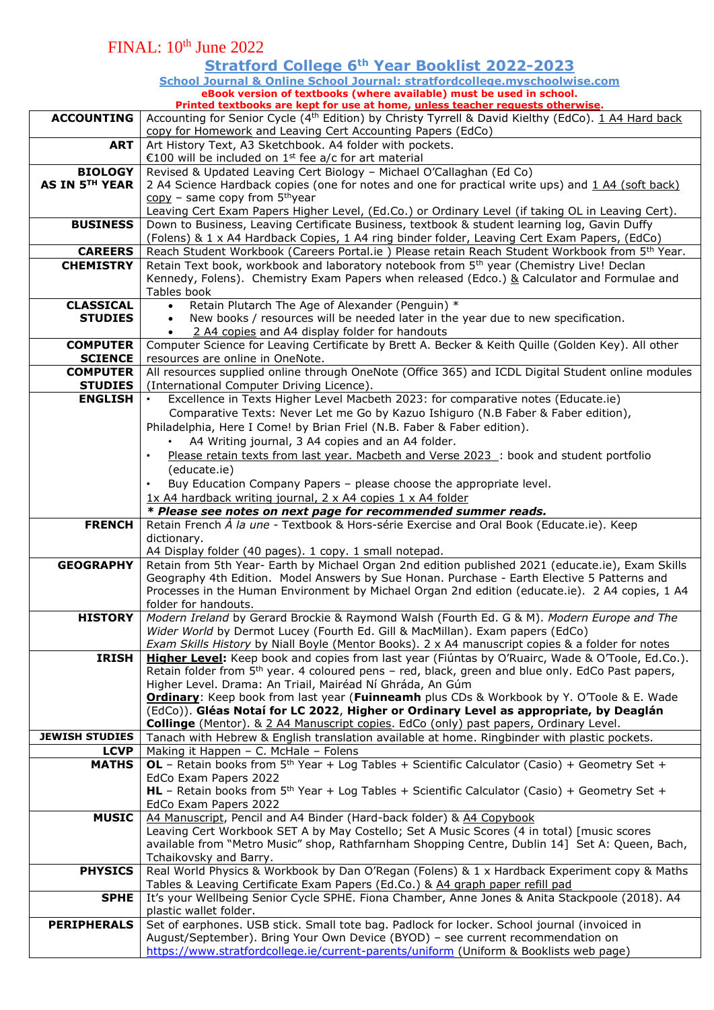#### FINAL: 10th June 2022 **Stratford College 6th Year Booklist 2022-2023 School Journal & Online School Journal: stratfordcollege.myschoolwise.com eBook version of textbooks (where available) must be used in school. Printed textbooks are kept for use at home, unless teacher requests otherwise. ACCOUNTING** | Accounting for Senior Cycle (4<sup>th</sup> Edition) by Christy Tyrrell & David Kielthy (EdCo). 1 A4 Hard back copy for Homework and Leaving Cert Accounting Papers (EdCo) **ART**  $\vert$  Art History Text, A3 Sketchbook. A4 folder with pockets. €100 will be included on 1<sup>st</sup> fee a/c for art material **BIOLOGY AS IN 5TH YEAR** Revised & Updated Leaving Cert Biology – Michael O'Callaghan (Ed Co) 2 A4 Science Hardback copies (one for notes and one for practical write ups) and 1 A4 (soft back) copy - same copy from 5<sup>th</sup>year Leaving Cert Exam Papers Higher Level, (Ed.Co.) or Ordinary Level (if taking OL in Leaving Cert). **BUSINESS** Down to Business, Leaving Certificate Business, textbook & student learning log, Gavin Duffy (Folens) & 1 x A4 Hardback Copies, 1 A4 ring binder folder, Leaving Cert Exam Papers, (EdCo) CAREERS | Reach Student Workbook (Careers Portal.ie ) Please retain Reach Student Workbook from 5<sup>th</sup> Year. **CHEMISTRY** Retain Text book, workbook and laboratory notebook from 5<sup>th</sup> year (Chemistry Live! Declan Kennedy, Folens). Chemistry Exam Papers when released (Edco.) & Calculator and Formulae and Tables book **CLASSICAL STUDIES** • Retain Plutarch The Age of Alexander (Penguin) \* • New books / resources will be needed later in the year due to new specification. • 2 A4 copies and A4 display folder for handouts **COMPUTER SCIENCE** Computer Science for Leaving Certificate by Brett A. Becker & Keith Quille (Golden Key). All other resources are online in OneNote. **COMPUTER STUDIES** All resources supplied online through OneNote (Office 365) and ICDL Digital Student online modules (International Computer Driving Licence). **ENGLISH** • Excellence in Texts Higher Level Macbeth 2023: for comparative notes (Educate.ie) Comparative Texts: Never Let me Go by Kazuo Ishiguro (N.B Faber & Faber edition), Philadelphia, Here I Come! by Brian Friel (N.B. Faber & Faber edition). • A4 Writing journal, 3 A4 copies and an A4 folder. • Please retain texts from last year. Macbeth and Verse 2023 : book and student portfolio (educate.ie) • Buy Education Company Papers – please choose the appropriate level. 1x A4 hardback writing journal, 2 x A4 copies 1 x A4 folder *\* Please see notes on next page for recommended summer reads.* **FRENCH** Retain French *À la une* - Textbook & Hors-série Exercise and Oral Book (Educate.ie). Keep dictionary. A4 Display folder (40 pages). 1 copy. 1 small notepad. **GEOGRAPHY** Retain from 5th Year- Earth by Michael Organ 2nd edition published 2021 (educate.ie), Exam Skills Geography 4th Edition. Model Answers by Sue Honan. Purchase - Earth Elective 5 Patterns and Processes in the Human Environment by Michael Organ 2nd edition (educate.ie). 2 A4 copies, 1 A4 folder for handouts. **HISTORY** *Modern Ireland* by Gerard Brockie & Raymond Walsh (Fourth Ed. G & M). *Modern Europe and The Wider World* by Dermot Lucey (Fourth Ed. Gill & MacMillan). Exam papers (EdCo) *Exam Skills History* by Niall Boyle (Mentor Books). 2 x A4 manuscript copies & a folder for notes **IRISH Higher Level:** Keep book and copies from last year (Fiúntas by O'Ruairc, Wade & O'Toole, Ed.Co.). Retain folder from 5th year. 4 coloured pens – red, black, green and blue only. EdCo Past papers, Higher Level. Drama: An Triail, Mairéad Ní Ghráda, An Gúm **Ordinary**: Keep book from last year (**Fuinneamh** plus CDs & Workbook by Y. O'Toole & E. Wade (EdCo)). **Gléas Notaí for LC 2022**, **Higher or Ordinary Level as appropriate, by Deaglán Collinge** (Mentor). & 2 A4 Manuscript copies. EdCo (only) past papers, Ordinary Level. **JEWISH STUDIES** Tanach with Hebrew & English translation available at home. Ringbinder with plastic pockets. **LCVP** Making it Happen – C. McHale – Folens **MATHS** | OL – Retain books from  $5<sup>th</sup>$  Year + Log Tables + Scientific Calculator (Casio) + Geometry Set + EdCo Exam Papers 2022 **HL** – Retain books from 5<sup>th</sup> Year + Log Tables + Scientific Calculator (Casio) + Geometry Set + EdCo Exam Papers 2022 **MUSIC** | A4 Manuscript, Pencil and A4 Binder (Hard-back folder) & A4 Copybook Leaving Cert Workbook SET A by May Costello; Set A Music Scores (4 in total) [music scores available from "Metro Music" shop, Rathfarnham Shopping Centre, Dublin 14] Set A: Queen, Bach, Tchaikovsky and Barry. **PHYSICS** Real World Physics & Workbook by Dan O'Regan (Folens) & 1 x Hardback Experiment copy & Maths Tables & Leaving Certificate Exam Papers (Ed.Co.) & A4 graph paper refill pad **SPHE** It's your Wellbeing Senior Cycle SPHE. Fiona Chamber, Anne Jones & Anita Stackpoole (2018). A4 plastic wallet folder. **PERIPHERALS** Set of earphones. USB stick. Small tote bag. Padlock for locker. School journal (invoiced in August/September). Bring Your Own Device (BYOD) – see current recommendation on <https://www.stratfordcollege.ie/current-parents/uniform> (Uniform & Booklists web page)